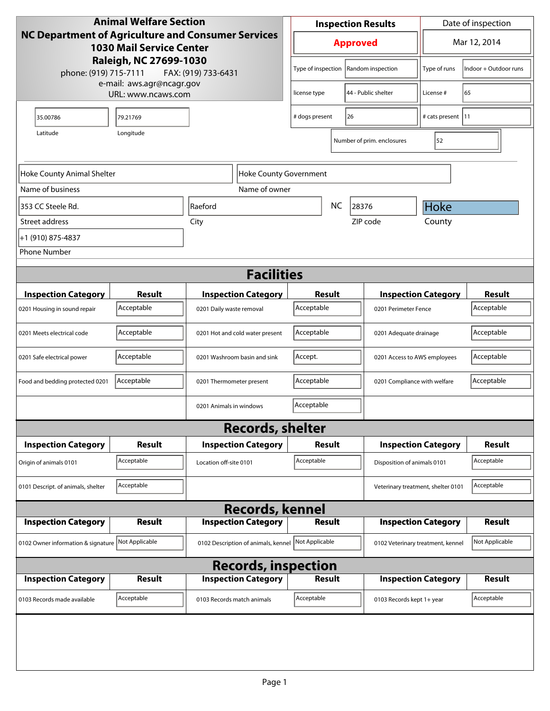| <b>Animal Welfare Section</b>                                                                                                                                          |                                                 |                                                        | <b>Inspection Results</b>            |                            |                              |                                    | Date of inspection         |                             |
|------------------------------------------------------------------------------------------------------------------------------------------------------------------------|-------------------------------------------------|--------------------------------------------------------|--------------------------------------|----------------------------|------------------------------|------------------------------------|----------------------------|-----------------------------|
| <b>NC Department of Agriculture and Consumer Services</b><br><b>1030 Mail Service Center</b><br>Raleigh, NC 27699-1030<br>phone: (919) 715-7111<br>FAX: (919) 733-6431 |                                                 |                                                        | <b>Approved</b>                      |                            |                              |                                    | Mar 12, 2014               |                             |
|                                                                                                                                                                        |                                                 |                                                        | Type of inspection                   |                            |                              | Random inspection                  | Type of runs               | Indoor + Outdoor runs       |
|                                                                                                                                                                        | e-mail: aws.agr@ncagr.gov<br>URL: www.ncaws.com |                                                        | license type                         |                            | 44 - Public shelter          | License #                          | 65                         |                             |
| 35.00786                                                                                                                                                               | 79.21769                                        |                                                        | # dogs present<br>26                 |                            |                              |                                    | # cats present   11        |                             |
| Latitude                                                                                                                                                               |                                                 |                                                        |                                      | Number of prim. enclosures | 52                           |                                    |                            |                             |
| Hoke County Animal Shelter<br>Hoke County Government                                                                                                                   |                                                 |                                                        |                                      |                            |                              |                                    |                            |                             |
| Name of business                                                                                                                                                       |                                                 | Name of owner                                          |                                      |                            |                              |                                    |                            |                             |
| 353 CC Steele Rd.                                                                                                                                                      |                                                 | Raeford                                                |                                      | NC                         | 28376                        |                                    | Hoke                       |                             |
| Street address                                                                                                                                                         |                                                 | City                                                   |                                      |                            |                              | ZIP code                           | County                     |                             |
| +1 (910) 875-4837                                                                                                                                                      |                                                 |                                                        |                                      |                            |                              |                                    |                            |                             |
| <b>Phone Number</b>                                                                                                                                                    |                                                 |                                                        |                                      |                            |                              |                                    |                            |                             |
| <b>Facilities</b>                                                                                                                                                      |                                                 |                                                        |                                      |                            |                              |                                    |                            |                             |
|                                                                                                                                                                        |                                                 |                                                        |                                      |                            |                              |                                    |                            |                             |
| <b>Inspection Category</b>                                                                                                                                             | <b>Result</b><br>Acceptable                     | <b>Inspection Category</b><br>0201 Daily waste removal | Result<br>Acceptable                 |                            |                              | 0201 Perimeter Fence               | <b>Inspection Category</b> | <b>Result</b><br>Acceptable |
| 0201 Housing in sound repair                                                                                                                                           |                                                 |                                                        |                                      |                            |                              |                                    |                            |                             |
| 0201 Meets electrical code                                                                                                                                             | Acceptable                                      | 0201 Hot and cold water present                        | Acceptable<br>0201 Adequate drainage |                            |                              | Acceptable                         |                            |                             |
| 0201 Safe electrical power                                                                                                                                             | Acceptable                                      | 0201 Washroom basin and sink                           | Accept.                              |                            | 0201 Access to AWS employees |                                    | Acceptable                 |                             |
| Food and bedding protected 0201                                                                                                                                        | Acceptable                                      | 0201 Thermometer present                               | Acceptable                           |                            | 0201 Compliance with welfare |                                    | Acceptable                 |                             |
|                                                                                                                                                                        |                                                 | 0201 Animals in windows                                | Acceptable                           |                            |                              |                                    |                            |                             |
|                                                                                                                                                                        |                                                 | <b>Records, shelter</b>                                |                                      |                            |                              |                                    |                            |                             |
| <b>Inspection Category</b>                                                                                                                                             | Result                                          | <b>Inspection Category</b>                             | Result                               |                            | <b>Inspection Category</b>   |                                    | Result                     |                             |
| Origin of animals 0101                                                                                                                                                 | Acceptable                                      | Location off-site 0101                                 | Acceptable                           |                            |                              | Disposition of animals 0101        |                            | Acceptable                  |
| 0101 Descript. of animals, shelter                                                                                                                                     | Acceptable                                      |                                                        |                                      |                            |                              | Veterinary treatment, shelter 0101 |                            | Acceptable                  |
| <b>Records, kennel</b>                                                                                                                                                 |                                                 |                                                        |                                      |                            |                              |                                    |                            |                             |
| <b>Inspection Category</b>                                                                                                                                             | <b>Result</b>                                   | <b>Inspection Category</b>                             | <b>Result</b>                        |                            |                              |                                    | <b>Inspection Category</b> | <b>Result</b>               |
| 0102 Owner information & signature                                                                                                                                     | Not Applicable                                  | 0102 Description of animals, kennel                    | Not Applicable                       |                            |                              | 0102 Veterinary treatment, kennel  |                            | Not Applicable              |
| <b>Records, inspection</b>                                                                                                                                             |                                                 |                                                        |                                      |                            |                              |                                    |                            |                             |
| <b>Inspection Category</b>                                                                                                                                             | <b>Result</b>                                   | <b>Inspection Category</b>                             | <b>Result</b>                        |                            |                              |                                    | <b>Inspection Category</b> | <b>Result</b>               |
| 0103 Records made available                                                                                                                                            | Acceptable                                      | 0103 Records match animals                             | Acceptable                           |                            |                              | 0103 Records kept 1+ year          |                            | Acceptable                  |
|                                                                                                                                                                        |                                                 |                                                        |                                      |                            |                              |                                    |                            |                             |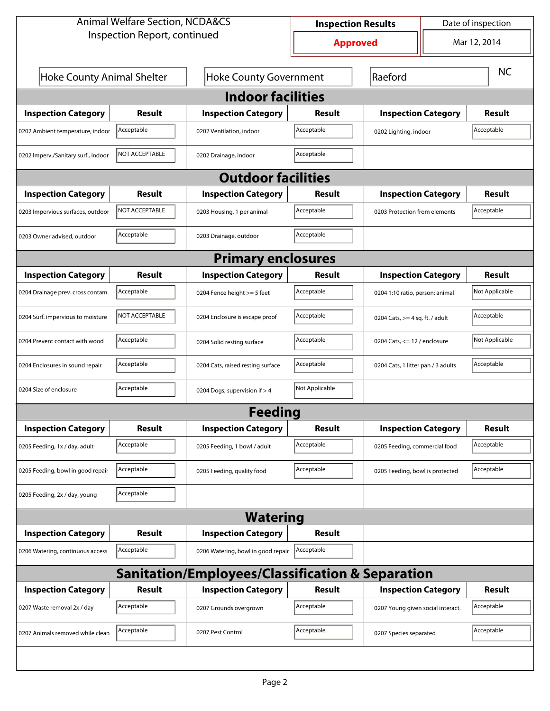| <b>Animal Welfare Section, NCDA&amp;CS</b>                  |                        |                                    | <b>Inspection Results</b> | Date of inspection                |                                    |               |  |  |  |
|-------------------------------------------------------------|------------------------|------------------------------------|---------------------------|-----------------------------------|------------------------------------|---------------|--|--|--|
| Inspection Report, continued                                |                        |                                    | <b>Approved</b>           |                                   |                                    | Mar 12, 2014  |  |  |  |
| <b>Hoke County Animal Shelter</b>                           |                        | <b>Hoke County Government</b>      |                           | Raeford                           |                                    | <b>NC</b>     |  |  |  |
| <b>Indoor facilities</b>                                    |                        |                                    |                           |                                   |                                    |               |  |  |  |
| <b>Inspection Category</b>                                  | Result                 | <b>Inspection Category</b>         | Result                    | <b>Inspection Category</b>        |                                    | Result        |  |  |  |
| 0202 Ambient temperature, indoor                            | Acceptable             | 0202 Ventilation, indoor           | Acceptable                | 0202 Lighting, indoor             |                                    | Acceptable    |  |  |  |
| 0202 Imperv./Sanitary surf., indoor                         | <b>INOT ACCEPTABLE</b> | 0202 Drainage, indoor              | Acceptable                |                                   |                                    |               |  |  |  |
| <b>Outdoor facilities</b>                                   |                        |                                    |                           |                                   |                                    |               |  |  |  |
| <b>Inspection Category</b>                                  | Result                 | <b>Inspection Category</b>         | Result                    | <b>Inspection Category</b>        |                                    | Result        |  |  |  |
| 0203 Impervious surfaces, outdoor                           | NOT ACCEPTABLE         | 0203 Housing, 1 per animal         | Acceptable                |                                   | 0203 Protection from elements      |               |  |  |  |
| 0203 Owner advised, outdoor                                 | Acceptable             | 0203 Drainage, outdoor             | Acceptable                |                                   |                                    |               |  |  |  |
| <b>Primary enclosures</b>                                   |                        |                                    |                           |                                   |                                    |               |  |  |  |
| <b>Inspection Category</b>                                  | Result                 | <b>Inspection Category</b>         | Result                    |                                   | <b>Inspection Category</b>         |               |  |  |  |
| 0204 Drainage prev. cross contam.                           | Acceptable             | 0204 Fence height >= 5 feet        | Acceptable                |                                   | 0204 1:10 ratio, person: animal    |               |  |  |  |
| 0204 Surf. impervious to moisture                           | <b>INOT ACCEPTABLE</b> | 0204 Enclosure is escape proof     | Acceptable                |                                   | 0204 Cats, $>=$ 4 sq. ft. / adult  |               |  |  |  |
| 0204 Prevent contact with wood                              | Acceptable             | 0204 Solid resting surface         | Acceptable                |                                   | 0204 Cats, $\le$ 12 / enclosure    |               |  |  |  |
| 0204 Enclosures in sound repair                             | Acceptable             | 0204 Cats, raised resting surface  | Acceptable                |                                   | 0204 Cats, 1 litter pan / 3 adults |               |  |  |  |
| 0204 Size of enclosure                                      | Acceptable             | 0204 Dogs, supervision if > 4      | Not Applicable            |                                   |                                    |               |  |  |  |
|                                                             |                        | <b>Feeding</b>                     |                           |                                   |                                    |               |  |  |  |
| <b>Inspection Category</b>                                  | <b>Result</b>          | <b>Inspection Category</b>         | <b>Result</b>             | <b>Inspection Category</b>        |                                    | <b>Result</b> |  |  |  |
| 0205 Feeding, 1x / day, adult                               | Acceptable             | 0205 Feeding, 1 bowl / adult       | Acceptable                | 0205 Feeding, commercial food     |                                    | Acceptable    |  |  |  |
| 0205 Feeding, bowl in good repair                           | Acceptable             | 0205 Feeding, quality food         | Acceptable                | 0205 Feeding, bowl is protected   |                                    | Acceptable    |  |  |  |
| 0205 Feeding, 2x / day, young                               | Acceptable             |                                    |                           |                                   |                                    |               |  |  |  |
| <b>Watering</b>                                             |                        |                                    |                           |                                   |                                    |               |  |  |  |
| <b>Inspection Category</b>                                  | Result                 | <b>Inspection Category</b>         | <b>Result</b>             |                                   |                                    |               |  |  |  |
| 0206 Watering, continuous access                            | Acceptable             | 0206 Watering, bowl in good repair | Acceptable                |                                   |                                    |               |  |  |  |
| <b>Sanitation/Employees/Classification &amp; Separation</b> |                        |                                    |                           |                                   |                                    |               |  |  |  |
| <b>Inspection Category</b>                                  | <b>Result</b>          | <b>Inspection Category</b>         | <b>Result</b>             | <b>Inspection Category</b>        |                                    | <b>Result</b> |  |  |  |
| 0207 Waste removal 2x / day                                 | Acceptable             | 0207 Grounds overgrown             | Acceptable                | 0207 Young given social interact. |                                    | Acceptable    |  |  |  |
| 0207 Animals removed while clean                            | Acceptable             | 0207 Pest Control                  | Acceptable                | 0207 Species separated            |                                    | Acceptable    |  |  |  |
|                                                             |                        |                                    |                           |                                   |                                    |               |  |  |  |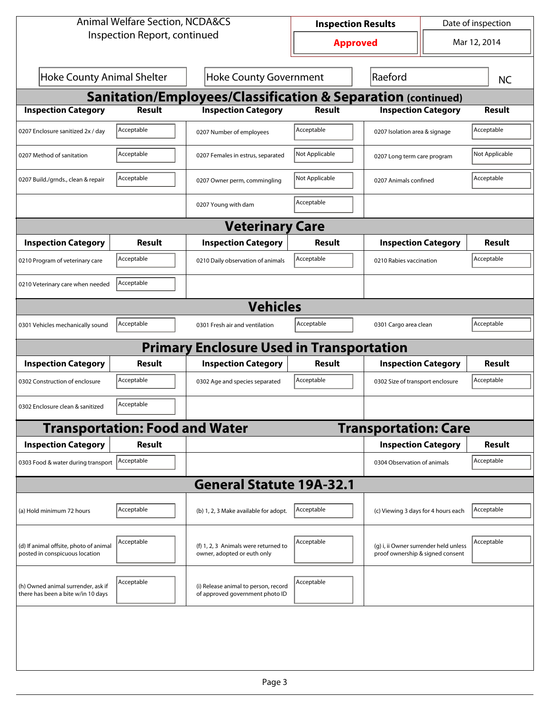| <b>Animal Welfare Section, NCDA&amp;CS</b>                               |                                       |                                                                         | <b>Inspection Results</b> |                                                                           | Date of inspection |                |  |  |  |
|--------------------------------------------------------------------------|---------------------------------------|-------------------------------------------------------------------------|---------------------------|---------------------------------------------------------------------------|--------------------|----------------|--|--|--|
| Inspection Report, continued                                             |                                       |                                                                         | <b>Approved</b>           |                                                                           |                    | Mar 12, 2014   |  |  |  |
| <b>Hoke County Animal Shelter</b>                                        |                                       | <b>Hoke County Government</b>                                           |                           | Raeford                                                                   |                    | <b>NC</b>      |  |  |  |
| <b>Sanitation/Employees/Classification &amp; Separation (continued)</b>  |                                       |                                                                         |                           |                                                                           |                    |                |  |  |  |
| <b>Inspection Category</b>                                               | <b>Result</b>                         | <b>Inspection Category</b>                                              | <b>Result</b>             | <b>Inspection Category</b>                                                |                    | <b>Result</b>  |  |  |  |
| 0207 Enclosure sanitized 2x / day                                        | Acceptable                            | 0207 Number of employees                                                | Acceptable                | 0207 Isolation area & signage                                             |                    | Acceptable     |  |  |  |
| 0207 Method of sanitation                                                | Acceptable                            | 0207 Females in estrus, separated                                       | Not Applicable            | 0207 Long term care program                                               |                    | Not Applicable |  |  |  |
| 0207 Build./grnds., clean & repair                                       | Acceptable                            | 0207 Owner perm, commingling                                            | Not Applicable            | 0207 Animals confined                                                     |                    | Acceptable     |  |  |  |
|                                                                          |                                       | 0207 Young with dam                                                     | Acceptable                |                                                                           |                    |                |  |  |  |
| <b>Veterinary Care</b>                                                   |                                       |                                                                         |                           |                                                                           |                    |                |  |  |  |
| <b>Inspection Category</b>                                               | Result                                | <b>Inspection Category</b>                                              | Result                    | <b>Inspection Category</b>                                                |                    | <b>Result</b>  |  |  |  |
| 0210 Program of veterinary care                                          | Acceptable                            | 0210 Daily observation of animals                                       | Acceptable                | 0210 Rabies vaccination                                                   |                    | Acceptable     |  |  |  |
| 0210 Veterinary care when needed                                         | Acceptable                            |                                                                         |                           |                                                                           |                    |                |  |  |  |
|                                                                          | <b>Vehicles</b>                       |                                                                         |                           |                                                                           |                    |                |  |  |  |
| 0301 Vehicles mechanically sound                                         | Acceptable                            | 0301 Fresh air and ventilation                                          | Acceptable                | 0301 Cargo area clean                                                     |                    | Acceptable     |  |  |  |
|                                                                          |                                       | <b>Primary Enclosure Used in Transportation</b>                         |                           |                                                                           |                    |                |  |  |  |
| <b>Inspection Category</b>                                               | Result                                | <b>Inspection Category</b>                                              | Result                    | <b>Inspection Category</b>                                                |                    | <b>Result</b>  |  |  |  |
| 0302 Construction of enclosure                                           | Acceptable                            | 0302 Age and species separated                                          | Acceptable                | 0302 Size of transport enclosure                                          |                    | Acceptable     |  |  |  |
| 0302 Enclosure clean & sanitized                                         | Acceptable                            |                                                                         |                           |                                                                           |                    |                |  |  |  |
|                                                                          | <b>Transportation: Food and Water</b> |                                                                         |                           | <b>Transportation: Care</b>                                               |                    |                |  |  |  |
| <b>Inspection Category</b>                                               | <b>Result</b>                         |                                                                         |                           | <b>Inspection Category</b>                                                |                    | <b>Result</b>  |  |  |  |
| 0303 Food & water during transport                                       | Acceptable                            |                                                                         |                           | 0304 Observation of animals                                               |                    | Acceptable     |  |  |  |
|                                                                          |                                       | <b>General Statute 19A-32.1</b>                                         |                           |                                                                           |                    |                |  |  |  |
| (a) Hold minimum 72 hours                                                | Acceptable                            | (b) 1, 2, 3 Make available for adopt.                                   | Acceptable                | (c) Viewing 3 days for 4 hours each                                       |                    | Acceptable     |  |  |  |
| (d) If animal offsite, photo of animal<br>posted in conspicuous location | Acceptable                            | (f) 1, 2, 3 Animals were returned to<br>owner, adopted or euth only     | Acceptable                | (g) i, ii Owner surrender held unless<br>proof ownership & signed consent |                    | Acceptable     |  |  |  |
| (h) Owned animal surrender, ask if<br>there has been a bite w/in 10 days | Acceptable                            | (i) Release animal to person, record<br>of approved government photo ID | Acceptable                |                                                                           |                    |                |  |  |  |
|                                                                          |                                       |                                                                         |                           |                                                                           |                    |                |  |  |  |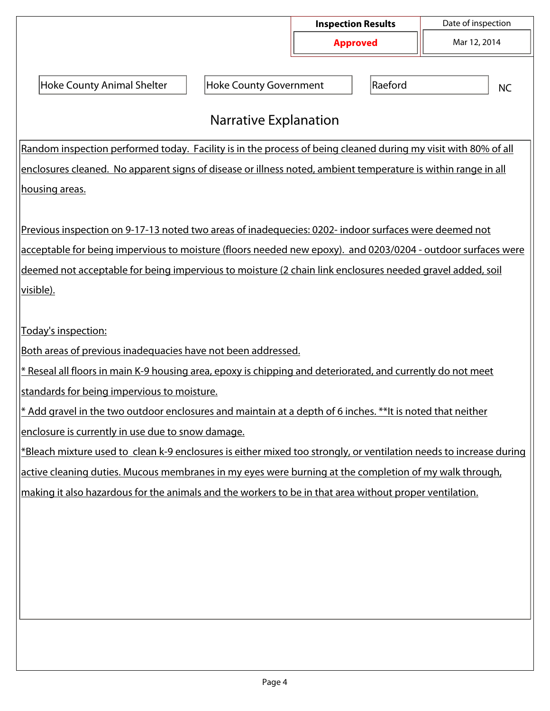|                                                                                                                                                                                                                                 |                               | <b>Inspection Results</b><br><b>Approved</b> |         | Date of inspection |  |  |  |  |
|---------------------------------------------------------------------------------------------------------------------------------------------------------------------------------------------------------------------------------|-------------------------------|----------------------------------------------|---------|--------------------|--|--|--|--|
|                                                                                                                                                                                                                                 |                               |                                              |         | Mar 12, 2014       |  |  |  |  |
|                                                                                                                                                                                                                                 |                               |                                              |         |                    |  |  |  |  |
| <b>Hoke County Animal Shelter</b>                                                                                                                                                                                               | <b>Hoke County Government</b> |                                              | Raeford | <b>NC</b>          |  |  |  |  |
| <b>Narrative Explanation</b>                                                                                                                                                                                                    |                               |                                              |         |                    |  |  |  |  |
|                                                                                                                                                                                                                                 |                               |                                              |         |                    |  |  |  |  |
| Random inspection performed today. Facility is in the process of being cleaned during my visit with 80% of all<br>enclosures cleaned. No apparent signs of disease or illness noted, ambient temperature is within range in all |                               |                                              |         |                    |  |  |  |  |
| housing areas.                                                                                                                                                                                                                  |                               |                                              |         |                    |  |  |  |  |
|                                                                                                                                                                                                                                 |                               |                                              |         |                    |  |  |  |  |
| Previous inspection on 9-17-13 noted two areas of inadequecies: 0202- indoor surfaces were deemed not                                                                                                                           |                               |                                              |         |                    |  |  |  |  |
| acceptable for being impervious to moisture (floors needed new epoxy). and 0203/0204 - outdoor surfaces were                                                                                                                    |                               |                                              |         |                    |  |  |  |  |
|                                                                                                                                                                                                                                 |                               |                                              |         |                    |  |  |  |  |
| deemed not acceptable for being impervious to moisture (2 chain link enclosures needed gravel added, soil<br>visible).                                                                                                          |                               |                                              |         |                    |  |  |  |  |
|                                                                                                                                                                                                                                 |                               |                                              |         |                    |  |  |  |  |
| Today's inspection:                                                                                                                                                                                                             |                               |                                              |         |                    |  |  |  |  |
| Both areas of previous inadequacies have not been addressed.                                                                                                                                                                    |                               |                                              |         |                    |  |  |  |  |
| * Reseal all floors in main K-9 housing area, epoxy is chipping and deteriorated, and currently do not meet                                                                                                                     |                               |                                              |         |                    |  |  |  |  |
| standards for being impervious to moisture.                                                                                                                                                                                     |                               |                                              |         |                    |  |  |  |  |
| * Add gravel in the two outdoor enclosures and maintain at a depth of 6 inches. ** It is noted that neither                                                                                                                     |                               |                                              |         |                    |  |  |  |  |
| enclosure is currently in use due to snow damage.                                                                                                                                                                               |                               |                                              |         |                    |  |  |  |  |
| *Bleach mixture used to clean k-9 enclosures is either mixed too strongly, or ventilation needs to increase during                                                                                                              |                               |                                              |         |                    |  |  |  |  |
| active cleaning duties. Mucous membranes in my eyes were burning at the completion of my walk through,                                                                                                                          |                               |                                              |         |                    |  |  |  |  |
| making it also hazardous for the animals and the workers to be in that area without proper ventilation.                                                                                                                         |                               |                                              |         |                    |  |  |  |  |
|                                                                                                                                                                                                                                 |                               |                                              |         |                    |  |  |  |  |
|                                                                                                                                                                                                                                 |                               |                                              |         |                    |  |  |  |  |
|                                                                                                                                                                                                                                 |                               |                                              |         |                    |  |  |  |  |
|                                                                                                                                                                                                                                 |                               |                                              |         |                    |  |  |  |  |
|                                                                                                                                                                                                                                 |                               |                                              |         |                    |  |  |  |  |
|                                                                                                                                                                                                                                 |                               |                                              |         |                    |  |  |  |  |
|                                                                                                                                                                                                                                 |                               |                                              |         |                    |  |  |  |  |